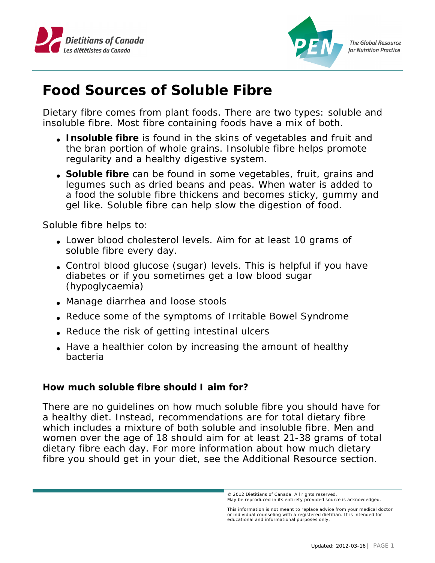



**The Global Resource** for Nutrition Practice

## **Food Sources of Soluble Fibre**

Dietary fibre comes from plant foods. There are two types: soluble and insoluble fibre. Most fibre containing foods have a mix of both.

- Insoluble fibre is found in the skins of vegetables and fruit and the bran portion of whole grains. Insoluble fibre helps promote regularity and a healthy digestive system.
- Soluble fibre can be found in some vegetables, fruit, grains and legumes such as dried beans and peas. When water is added to a food the soluble fibre thickens and becomes sticky, gummy and gel like. Soluble fibre can help slow the digestion of food.

Soluble fibre helps to:

- Lower blood cholesterol levels. Aim for at least 10 grams of soluble fibre every day.
- Control blood glucose (sugar) levels. This is helpful if you have diabetes or if you sometimes get a low blood sugar (hypoglycaemia)
- Manage diarrhea and loose stools
- Reduce some of the symptoms of Irritable Bowel Syndrome
- Reduce the risk of getting intestinal ulcers
- Have a healthier colon by increasing the amount of healthy bacteria

**How much soluble fibre should I aim for?**

There are no guidelines on how much soluble fibre you should have for a healthy diet. Instead, recommendations are for total dietary fibre which includes a mixture of both soluble and insoluble fibre. Men and women over the age of 18 should aim for at least 21-38 grams of total dietary fibre each day. For more information about how much dietary fibre you should get in your diet, see the Additional Resource section.

etitians of Canada. All righ **© 2010 Dietitians of Canada. All rights reserved.**  © 2012 Dietitians of Canada. All rights reserved. May be reproduced in its entirety provided source is acknowledged.

This information is not meant to replace advice from your medical doctor<br>or individual counseling with a registered dietitian. It is intended for educational and informational purposes only.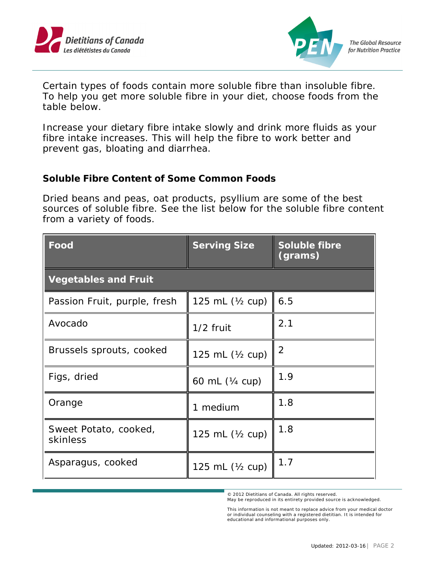



**The Global Resource** for Nutrition Practice

Certain types of foods contain more soluble fibre than insoluble fibre. To help you get more soluble fibre in your diet, choose foods from the table below.

Increase your dietary fibre intake slowly and drink more fluids as your fibre intake increases. This will help the fibre to work better and prevent gas, bloating and diarrhea.

**Soluble Fibre Content of Some Common Foods**

Dried beans and peas, oat products, psyllium are some of the best sources of soluble fibre. See the list below for the soluble fibre content from a variety of foods.

| Food                              | <b>Serving Size</b> | Soluble fibre<br>(grams) |  |
|-----------------------------------|---------------------|--------------------------|--|
| <b>Vegetables and Fruit</b>       |                     |                          |  |
| Passion Fruit, purple, fresh      | 125 mL $(Y_2$ cup)  | 6.5                      |  |
| Avocado                           | $1/2$ fruit         | 2.1                      |  |
| Brussels sprouts, cooked          | 125 mL $(Y_2$ cup)  | 2                        |  |
| Figs, dried                       | 60 mL (¼ cup)       | 1.9                      |  |
| Orange                            | 1 medium            | 1.8                      |  |
| Sweet Potato, cooked,<br>skinless | 125 mL (1/2 cup)    | 1.8                      |  |
| Asparagus, cooked                 | 125 mL (1/2 cup)    | 1.7                      |  |

etitians of Canada. All righ © 2012 Dietitians of Canada. All rights reserved. May be reproduced in its entirety provided source is acknowledged.

**© 2010 Dietitians of Canada. All rights reserved.**  This information is not meant to replace advice from your medical doctor<br>or individual counseling with a registered dietitian. It is intended for educational and informational purposes only.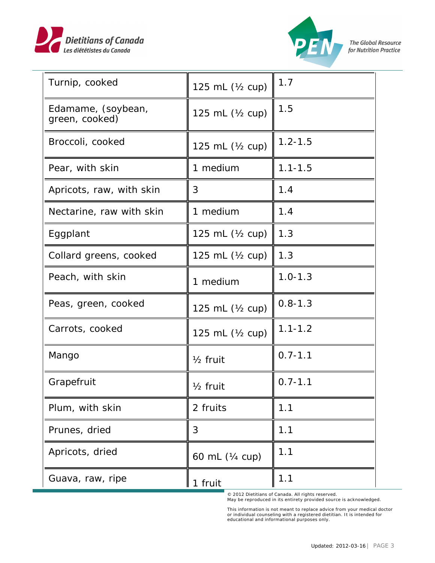



| Turnip, cooked                       | 125 mL $(Y_2$ cup)  | 1.7         |
|--------------------------------------|---------------------|-------------|
| Edamame, (soybean,<br>green, cooked) | 125 mL $(Y_2$ cup)  | 1.5         |
| Broccoli, cooked                     | 125 mL (1/2 cup)    | $1.2 - 1.5$ |
| Pear, with skin                      | 1 medium            | $1.1 - 1.5$ |
| Apricots, raw, with skin             | 3                   | 1.4         |
| Nectarine, raw with skin             | 1 medium            | 1.4         |
| Eggplant                             | 125 mL $(Y_2$ cup)  | 1.3         |
| Collard greens, cooked               | 125 mL $(Y_2$ cup)  | 1.3         |
| Peach, with skin                     | 1 medium            | $1.0 - 1.3$ |
| Peas, green, cooked                  | 125 mL (1/2 cup)    | $0.8 - 1.3$ |
| Carrots, cooked                      | 125 mL $(Y_2$ cup)  | $1.1 - 1.2$ |
| Mango                                | $1/2$ fruit         | $0.7 - 1.1$ |
| Grapefruit                           | $\frac{1}{2}$ fruit | $0.7 - 1.1$ |
| Plum, with skin                      | 2 fruits            | 1.1         |
| Prunes, dried                        | 3                   | 1.1         |
| Apricots, dried                      | 60 mL (1/4 cup)     | 1.1         |
| Guava, raw, ripe                     | 1 fruit             | 1.1         |

etitians of Canada. All righ © 2012 Dietitians of Canada. All rights reserved. May be reproduced in its entirety provided source is acknowledged.

**© 2010 Dietitians of Canada. All rights reserved. Mation is not meant to replace advice from your medical do all the source it is conselled for all counseling with a registered dietitian. It is intended for n** and informational purposes only. This information is not meant to replace advice from your medical doctor or individual counseling with a registered dietitian. It is intended for educational and informational purposes only.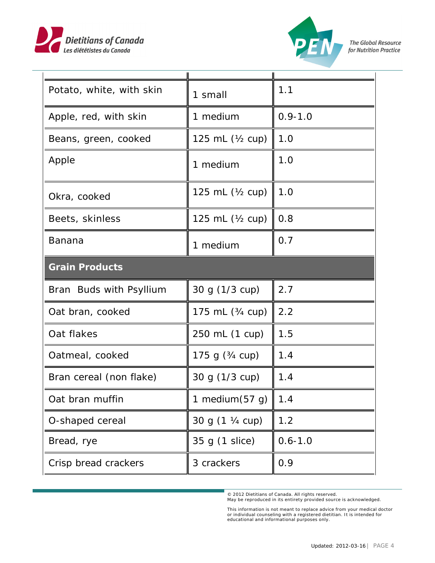



The Global Resource for Nutrition Practice

| Potato, white, with skin | 1 small                   | 1.1         |
|--------------------------|---------------------------|-------------|
| Apple, red, with skin    | 1 medium                  | $0.9 - 1.0$ |
| Beans, green, cooked     | 125 mL $(Y_2$ cup)        | 1.0         |
| Apple                    | 1 medium                  | 1.0         |
| Okra, cooked             | 125 mL $(Y_2$ cup)        | 1.0         |
| Beets, skinless          | 125 mL $(Y_2$ cup)        | 0.8         |
| Banana                   | 1 medium                  | 0.7         |
| <b>Grain Products</b>    |                           |             |
|                          |                           |             |
| Bran Buds with Psyllium  | 30 g (1/3 cup)            | 2.7         |
| Oat bran, cooked         | 175 mL (3/4 cup)          | 2.2         |
| Oat flakes               | 250 mL (1 cup)            | 1.5         |
| Oatmeal, cooked          | 175 g $(3/4 \text{ cup})$ | 1.4         |
| Bran cereal (non flake)  | 30 g (1/3 cup)            | 1.4         |
| Oat bran muffin          | 1 medium $(57 g)$         | 1.4         |
| O-shaped cereal          | 30 g (1 ¼ cup)            | 1.2         |
| Bread, rye               | 35 g (1 slice)            | $0.6 - 1.0$ |
| Crisp bread crackers     | 3 crackers                | 0.9         |

etitians of Canada. All righ © 2012 Dietitians of Canada. All rights reserved. May be reproduced in its entirety provided source is acknowledged.

**© 2010 Dietitians of Canada. All rights reserved. Mation is not meant to replace advice from your medical do all the source it is conselled for all counseling with a registered dietitian. It is intended for n** and informational purposes only. This information is not meant to replace advice from your medical doctor or individual counseling with a registered dietitian. It is intended for educational and informational purposes only.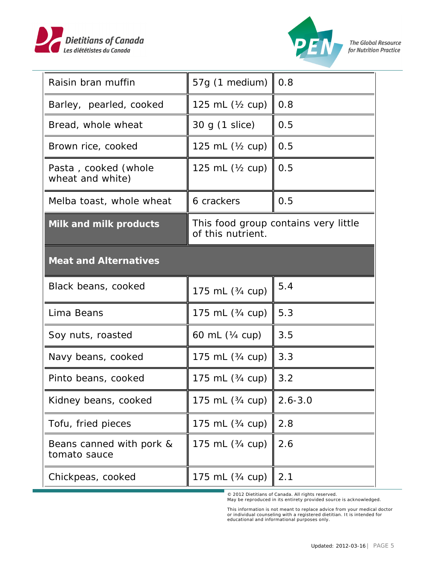



| Raisin bran muffin                       | 57g (1 medium)                                            | 0.8         |
|------------------------------------------|-----------------------------------------------------------|-------------|
| Barley, pearled, cooked                  | 125 mL $(\frac{1}{2}$ cup)                                | 0.8         |
| Bread, whole wheat                       | 30 g (1 slice)                                            | 0.5         |
| Brown rice, cooked                       | 125 mL (1/2 cup)                                          | 0.5         |
| Pasta, cooked (whole<br>wheat and white) | 125 mL $(Y_2$ cup)                                        | 0.5         |
| Melba toast, whole wheat                 | 6 crackers                                                | 0.5         |
| Milk and milk products                   | This food group contains very little<br>of this nutrient. |             |
| <b>Meat and Alternatives</b>             |                                                           |             |
| Black beans, cooked                      | 175 mL (3/4 cup)                                          | 5.4         |
| Lima Beans                               | 175 mL (3/4 cup)                                          | 5.3         |
| Soy nuts, roasted                        | 60 mL (1/4 cup)                                           | 3.5         |
| Navy beans, cooked                       | 175 mL (3/4 cup)                                          | 3.3         |
| Pinto beans, cooked                      | 175 mL (3/4 cup)                                          | 3.2         |
| Kidney beans, cooked                     | 175 mL (3/4 cup)                                          | $2.6 - 3.0$ |
| Tofu, fried pieces                       | 175 mL (3/4 cup)                                          | 2.8         |
| Beans canned with pork &<br>tomato sauce | 175 mL (3/4 cup)                                          | 2.6         |
|                                          |                                                           |             |

etitians of Canada. All righ © 2012 Dietitians of Canada. All rights reserved. May be reproduced in its entirety provided source is acknowledged.

**© 2010 Dietitians of Canada. All rights reserved. Mation is not meant to replace advice from your medical do all the source it is conselled for all counseling with a registered dietitian. It is intended for n** and informational purposes only. This information is not meant to replace advice from your medical doctor or individual counseling with a registered dietitian. It is intended for educational and informational purposes only.